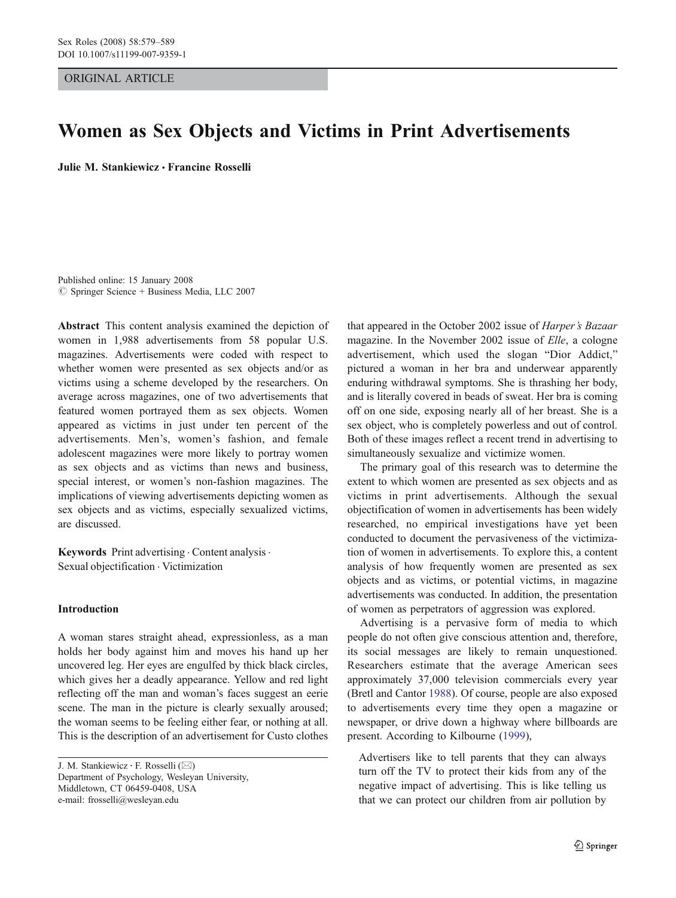ORIGINAL ARTICLE

# Women as Sex Objects and Victims in Print Advertisements

Julie M. Stankiewicz *&* Francine Rosselli

Published online: 15 January 2008  $\oslash$  Springer Science + Business Media, LLC 2007

Abstract This content analysis examined the depiction of women in 1,988 advertisements from 58 popular U.S. magazines. Advertisements were coded with respect to whether women were presented as sex objects and/or as victims using a scheme developed by the researchers. On average across magazines, one of two advertisements that featured women portrayed them as sex objects. Women appeared as victims in just under ten percent of the advertisements. Men's, women's fashion, and female adolescent magazines were more likely to portray women as sex objects and as victims than news and business, special interest, or women's non-fashion magazines. The implications of viewing advertisements depicting women as sex objects and as victims, especially sexualized victims, are discussed.

Keywords Print advertising Content analysis. Sexual objectification . Victimization

# Introduction

A woman stares straight ahead, expressionless, as a man holds her body against him and moves his hand up her uncovered leg. Her eyes are engulfed by thick black circles, which gives her a deadly appearance. Yellow and red light reflecting off the man and woman's faces suggest an eerie scene. The man in the picture is clearly sexually aroused; the woman seems to be feeling either fear, or nothing at all. This is the description of an advertisement for Custo clothes

J. M. Stankiewicz *:* F. Rosselli (*\**) Department of Psychology, Wesleyan University, Middletown, CT 06459-0408, USA e-mail: frosselli@wesleyan.edu

that appeared in the October 2002 issue of Harper's Bazaar magazine. In the November 2002 issue of Elle, a cologne advertisement, which used the slogan "Dior Addict," pictured a woman in her bra and underwear apparently enduring withdrawal symptoms. She is thrashing her body, and is literally covered in beads of sweat. Her bra is coming off on one side, exposing nearly all of her breast. She is a sex object, who is completely powerless and out of control. Both of these images reflect a recent trend in advertising to simultaneously sexualize and victimize women.

The primary goal of this research was to determine the extent to which women are presented as sex objects and as victims in print advertisements. Although the sexual objectification of women in advertisements has been widely researched, no empirical investigations have yet been conducted to document the pervasiveness of the victimization of women in advertisements. To explore this, a content analysis of how frequently women are presented as sex objects and as victims, or potential victims, in magazine advertisements was conducted. In addition, the presentation of women as perpetrators of aggression was explored.

Advertising is a pervasive form of media to which people do not often give conscious attention and, therefore, its social messages are likely to remain unquestioned. Researchers estimate that the average American sees approximately 37,000 television commercials every year (Bretl and Cantor 1988). Of course, people are also exposed to advertisements every time they open a magazine or newspaper, or drive down a highway where billboards are present. According to Kilbourne (1999),

Advertisers like to tell parents that they can always turn off the TV to protect their kids from any of the negative impact of advertising. This is like telling us that we can protect our children from air pollution by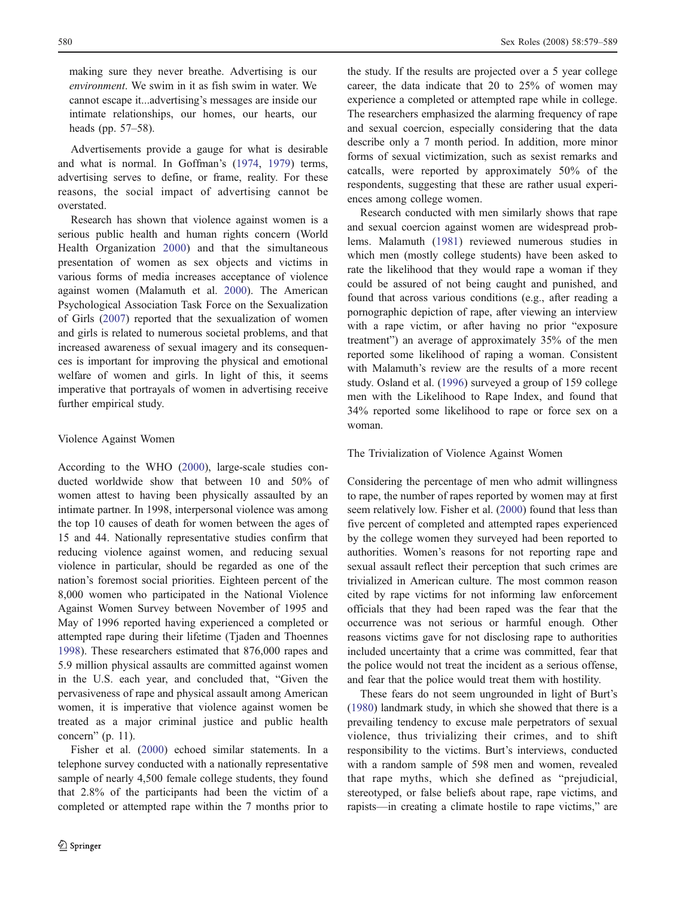making sure they never breathe. Advertising is our environment. We swim in it as fish swim in water. We cannot escape it...advertising's messages are inside our intimate relationships, our homes, our hearts, our heads (pp. 57–58).

Advertisements provide a gauge for what is desirable and what is normal. In Goffman's (1974, 1979) terms, advertising serves to define, or frame, reality. For these reasons, the social impact of advertising cannot be overstated.

Research has shown that violence against women is a serious public health and human rights concern (World Health Organization 2000) and that the simultaneous presentation of women as sex objects and victims in various forms of media increases acceptance of violence against women (Malamuth et al. 2000). The American Psychological Association Task Force on the Sexualization of Girls (2007) reported that the sexualization of women and girls is related to numerous societal problems, and that increased awareness of sexual imagery and its consequences is important for improving the physical and emotional welfare of women and girls. In light of this, it seems imperative that portrayals of women in advertising receive further empirical study.

#### Violence Against Women

According to the WHO (2000), large-scale studies conducted worldwide show that between 10 and 50% of women attest to having been physically assaulted by an intimate partner. In 1998, interpersonal violence was among the top 10 causes of death for women between the ages of 15 and 44. Nationally representative studies confirm that reducing violence against women, and reducing sexual violence in particular, should be regarded as one of the nation's foremost social priorities. Eighteen percent of the 8,000 women who participated in the National Violence Against Women Survey between November of 1995 and May of 1996 reported having experienced a completed or attempted rape during their lifetime (Tjaden and Thoennes 1998). These researchers estimated that 876,000 rapes and 5.9 million physical assaults are committed against women in the U.S. each year, and concluded that, "Given the pervasiveness of rape and physical assault among American women, it is imperative that violence against women be treated as a major criminal justice and public health concern" (p. 11).

Fisher et al. (2000) echoed similar statements. In a telephone survey conducted with a nationally representative sample of nearly 4,500 female college students, they found that 2.8% of the participants had been the victim of a completed or attempted rape within the 7 months prior to

the study. If the results are projected over a 5 year college career, the data indicate that 20 to 25% of women may experience a completed or attempted rape while in college. The researchers emphasized the alarming frequency of rape and sexual coercion, especially considering that the data describe only a 7 month period. In addition, more minor forms of sexual victimization, such as sexist remarks and catcalls, were reported by approximately 50% of the respondents, suggesting that these are rather usual experiences among college women.

Research conducted with men similarly shows that rape and sexual coercion against women are widespread problems. Malamuth (1981) reviewed numerous studies in which men (mostly college students) have been asked to rate the likelihood that they would rape a woman if they could be assured of not being caught and punished, and found that across various conditions (e.g., after reading a pornographic depiction of rape, after viewing an interview with a rape victim, or after having no prior "exposure" treatment") an average of approximately 35% of the men reported some likelihood of raping a woman. Consistent with Malamuth's review are the results of a more recent study. Osland et al. (1996) surveyed a group of 159 college men with the Likelihood to Rape Index, and found that 34% reported some likelihood to rape or force sex on a woman.

#### The Trivialization of Violence Against Women

Considering the percentage of men who admit willingness to rape, the number of rapes reported by women may at first seem relatively low. Fisher et al. (2000) found that less than five percent of completed and attempted rapes experienced by the college women they surveyed had been reported to authorities. Women's reasons for not reporting rape and sexual assault reflect their perception that such crimes are trivialized in American culture. The most common reason cited by rape victims for not informing law enforcement officials that they had been raped was the fear that the occurrence was not serious or harmful enough. Other reasons victims gave for not disclosing rape to authorities included uncertainty that a crime was committed, fear that the police would not treat the incident as a serious offense, and fear that the police would treat them with hostility.

These fears do not seem ungrounded in light of Burt's (1980) landmark study, in which she showed that there is a prevailing tendency to excuse male perpetrators of sexual violence, thus trivializing their crimes, and to shift responsibility to the victims. Burt's interviews, conducted with a random sample of 598 men and women, revealed that rape myths, which she defined as "prejudicial, stereotyped, or false beliefs about rape, rape victims, and rapists—in creating a climate hostile to rape victims," are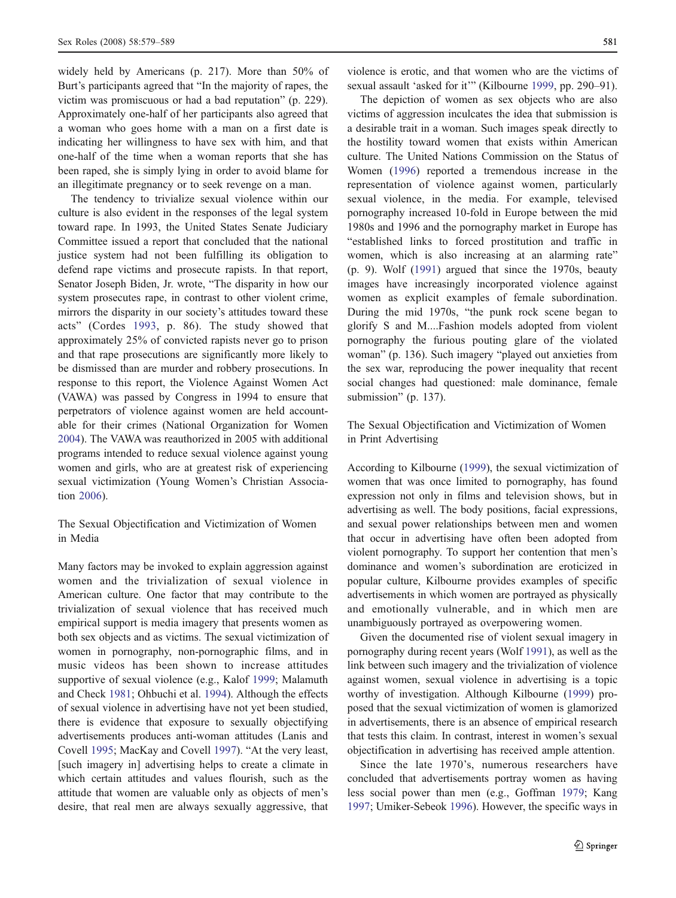widely held by Americans (p. 217). More than 50% of Burt's participants agreed that "In the majority of rapes, the victim was promiscuous or had a bad reputation" (p. 229). Approximately one-half of her participants also agreed that a woman who goes home with a man on a first date is indicating her willingness to have sex with him, and that one-half of the time when a woman reports that she has been raped, she is simply lying in order to avoid blame for an illegitimate pregnancy or to seek revenge on a man.

The tendency to trivialize sexual violence within our culture is also evident in the responses of the legal system toward rape. In 1993, the United States Senate Judiciary Committee issued a report that concluded that the national justice system had not been fulfilling its obligation to defend rape victims and prosecute rapists. In that report, Senator Joseph Biden, Jr. wrote, "The disparity in how our system prosecutes rape, in contrast to other violent crime, mirrors the disparity in our society's attitudes toward these acts" (Cordes 1993, p. 86). The study showed that approximately 25% of convicted rapists never go to prison and that rape prosecutions are significantly more likely to be dismissed than are murder and robbery prosecutions. In response to this report, the Violence Against Women Act (VAWA) was passed by Congress in 1994 to ensure that perpetrators of violence against women are held accountable for their crimes (National Organization for Women 2004). The VAWA was reauthorized in 2005 with additional programs intended to reduce sexual violence against young women and girls, who are at greatest risk of experiencing sexual victimization (Young Women's Christian Association 2006).

The Sexual Objectification and Victimization of Women in Media

Many factors may be invoked to explain aggression against women and the trivialization of sexual violence in American culture. One factor that may contribute to the trivialization of sexual violence that has received much empirical support is media imagery that presents women as both sex objects and as victims. The sexual victimization of women in pornography, non-pornographic films, and in music videos has been shown to increase attitudes supportive of sexual violence (e.g., Kalof 1999; Malamuth and Check 1981; Ohbuchi et al. 1994). Although the effects of sexual violence in advertising have not yet been studied, there is evidence that exposure to sexually objectifying advertisements produces anti-woman attitudes (Lanis and Covell 1995; MacKay and Covell 1997). "At the very least, [such imagery in] advertising helps to create a climate in which certain attitudes and values flourish, such as the attitude that women are valuable only as objects of men's desire, that real men are always sexually aggressive, that

violence is erotic, and that women who are the victims of sexual assault 'asked for it'" (Kilbourne 1999, pp. 290–91).

The depiction of women as sex objects who are also victims of aggression inculcates the idea that submission is a desirable trait in a woman. Such images speak directly to the hostility toward women that exists within American culture. The United Nations Commission on the Status of Women (1996) reported a tremendous increase in the representation of violence against women, particularly sexual violence, in the media. For example, televised pornography increased 10-fold in Europe between the mid 1980s and 1996 and the pornography market in Europe has "established links to forced prostitution and traffic in women, which is also increasing at an alarming rate" (p. 9). Wolf (1991) argued that since the 1970s, beauty images have increasingly incorporated violence against women as explicit examples of female subordination. During the mid 1970s, "the punk rock scene began to glorify S and M....Fashion models adopted from violent pornography the furious pouting glare of the violated woman" (p. 136). Such imagery "played out anxieties from the sex war, reproducing the power inequality that recent social changes had questioned: male dominance, female submission" (p. 137).

The Sexual Objectification and Victimization of Women in Print Advertising

According to Kilbourne (1999), the sexual victimization of women that was once limited to pornography, has found expression not only in films and television shows, but in advertising as well. The body positions, facial expressions, and sexual power relationships between men and women that occur in advertising have often been adopted from violent pornography. To support her contention that men's dominance and women's subordination are eroticized in popular culture, Kilbourne provides examples of specific advertisements in which women are portrayed as physically and emotionally vulnerable, and in which men are unambiguously portrayed as overpowering women.

Given the documented rise of violent sexual imagery in pornography during recent years (Wolf 1991), as well as the link between such imagery and the trivialization of violence against women, sexual violence in advertising is a topic worthy of investigation. Although Kilbourne (1999) proposed that the sexual victimization of women is glamorized in advertisements, there is an absence of empirical research that tests this claim. In contrast, interest in women's sexual objectification in advertising has received ample attention.

Since the late 1970's, numerous researchers have concluded that advertisements portray women as having less social power than men (e.g., Goffman 1979; Kang 1997; Umiker-Sebeok 1996). However, the specific ways in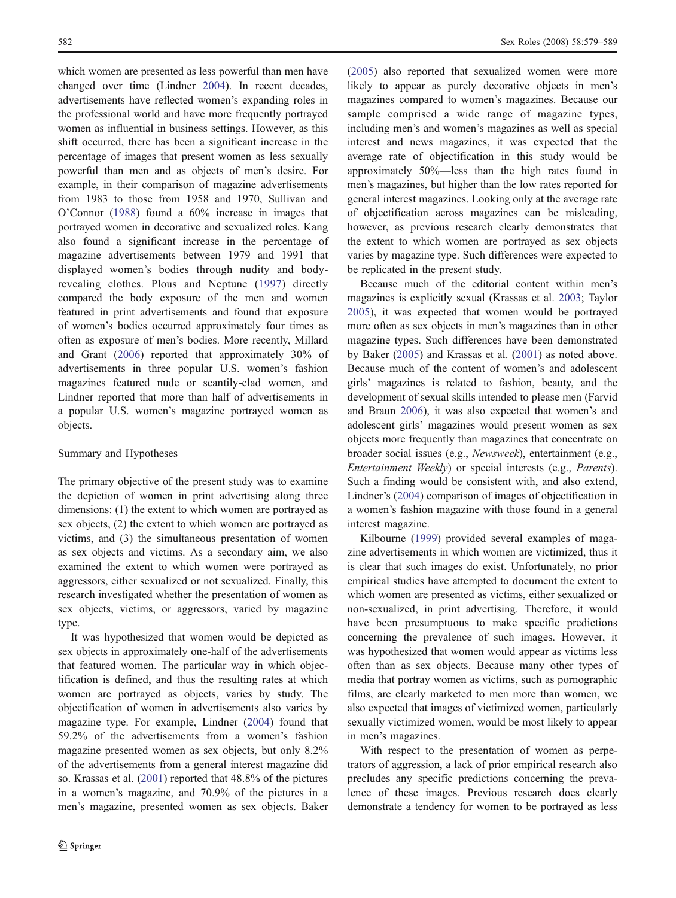which women are presented as less powerful than men have changed over time (Lindner 2004). In recent decades, advertisements have reflected women's expanding roles in the professional world and have more frequently portrayed women as influential in business settings. However, as this shift occurred, there has been a significant increase in the percentage of images that present women as less sexually powerful than men and as objects of men's desire. For example, in their comparison of magazine advertisements from 1983 to those from 1958 and 1970, Sullivan and O'Connor (1988) found a 60% increase in images that portrayed women in decorative and sexualized roles. Kang also found a significant increase in the percentage of magazine advertisements between 1979 and 1991 that displayed women's bodies through nudity and bodyrevealing clothes. Plous and Neptune (1997) directly compared the body exposure of the men and women featured in print advertisements and found that exposure of women's bodies occurred approximately four times as often as exposure of men's bodies. More recently, Millard and Grant (2006) reported that approximately 30% of advertisements in three popular U.S. women's fashion magazines featured nude or scantily-clad women, and Lindner reported that more than half of advertisements in a popular U.S. women's magazine portrayed women as objects.

#### Summary and Hypotheses

The primary objective of the present study was to examine the depiction of women in print advertising along three dimensions: (1) the extent to which women are portrayed as sex objects, (2) the extent to which women are portrayed as victims, and (3) the simultaneous presentation of women as sex objects and victims. As a secondary aim, we also examined the extent to which women were portrayed as aggressors, either sexualized or not sexualized. Finally, this research investigated whether the presentation of women as sex objects, victims, or aggressors, varied by magazine type.

It was hypothesized that women would be depicted as sex objects in approximately one-half of the advertisements that featured women. The particular way in which objectification is defined, and thus the resulting rates at which women are portrayed as objects, varies by study. The objectification of women in advertisements also varies by magazine type. For example, Lindner (2004) found that 59.2% of the advertisements from a women's fashion magazine presented women as sex objects, but only 8.2% of the advertisements from a general interest magazine did so. Krassas et al. (2001) reported that 48.8% of the pictures in a women's magazine, and 70.9% of the pictures in a men's magazine, presented women as sex objects. Baker

(2005) also reported that sexualized women were more likely to appear as purely decorative objects in men's magazines compared to women's magazines. Because our sample comprised a wide range of magazine types, including men's and women's magazines as well as special interest and news magazines, it was expected that the average rate of objectification in this study would be approximately 50%—less than the high rates found in men's magazines, but higher than the low rates reported for general interest magazines. Looking only at the average rate of objectification across magazines can be misleading, however, as previous research clearly demonstrates that the extent to which women are portrayed as sex objects varies by magazine type. Such differences were expected to be replicated in the present study.

Because much of the editorial content within men's magazines is explicitly sexual (Krassas et al. 2003; Taylor 2005), it was expected that women would be portrayed more often as sex objects in men's magazines than in other magazine types. Such differences have been demonstrated by Baker (2005) and Krassas et al. (2001) as noted above. Because much of the content of women's and adolescent girls' magazines is related to fashion, beauty, and the development of sexual skills intended to please men (Farvid and Braun 2006), it was also expected that women's and adolescent girls' magazines would present women as sex objects more frequently than magazines that concentrate on broader social issues (e.g., Newsweek), entertainment (e.g., Entertainment Weekly) or special interests (e.g., Parents). Such a finding would be consistent with, and also extend, Lindner's (2004) comparison of images of objectification in a women's fashion magazine with those found in a general interest magazine.

Kilbourne (1999) provided several examples of magazine advertisements in which women are victimized, thus it is clear that such images do exist. Unfortunately, no prior empirical studies have attempted to document the extent to which women are presented as victims, either sexualized or non-sexualized, in print advertising. Therefore, it would have been presumptuous to make specific predictions concerning the prevalence of such images. However, it was hypothesized that women would appear as victims less often than as sex objects. Because many other types of media that portray women as victims, such as pornographic films, are clearly marketed to men more than women, we also expected that images of victimized women, particularly sexually victimized women, would be most likely to appear in men's magazines.

With respect to the presentation of women as perpetrators of aggression, a lack of prior empirical research also precludes any specific predictions concerning the prevalence of these images. Previous research does clearly demonstrate a tendency for women to be portrayed as less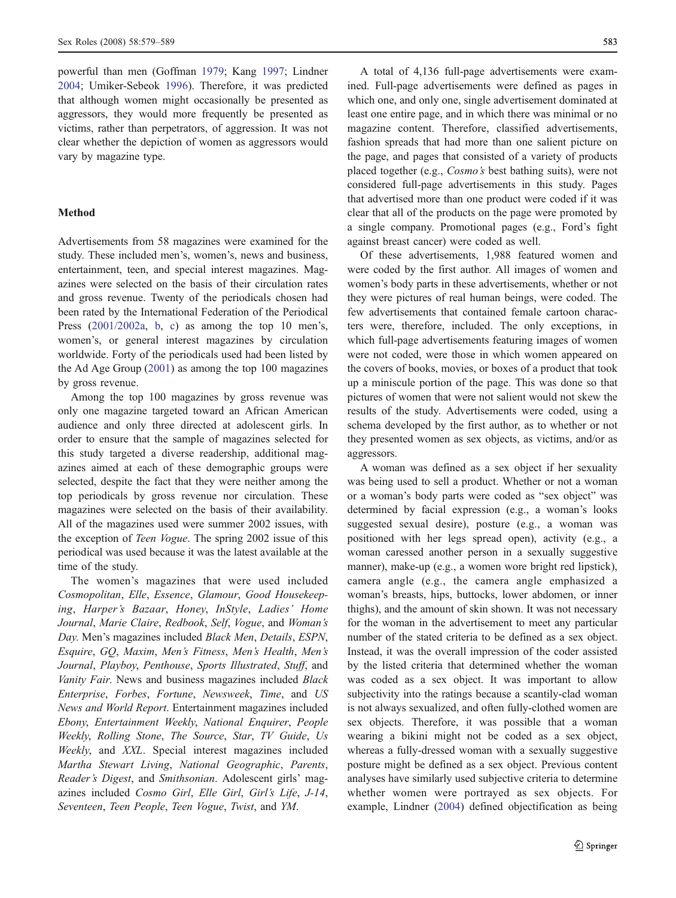powerful than men (Goffman 1979; Kang 1997; Lindner 2004; Umiker-Sebeok 1996). Therefore, it was predicted that although women might occasionally be presented as aggressors, they would more frequently be presented as victims, rather than perpetrators, of aggression. It was not clear whether the depiction of women as aggressors would vary by magazine type.

# Method

Advertisements from 58 magazines were examined for the study. These included men's, women's, news and business, entertainment, teen, and special interest magazines. Magazines were selected on the basis of their circulation rates and gross revenue. Twenty of the periodicals chosen had been rated by the International Federation of the Periodical Press  $(2001/2002a, b, c)$  as among the top 10 men's, women's, or general interest magazines by circulation worldwide. Forty of the periodicals used had been listed by the Ad Age Group (2001) as among the top 100 magazines by gross revenue.

Among the top 100 magazines by gross revenue was only one magazine targeted toward an African American audience and only three directed at adolescent girls. In order to ensure that the sample of magazines selected for this study targeted a diverse readership, additional magazines aimed at each of these demographic groups were selected, despite the fact that they were neither among the top periodicals by gross revenue nor circulation. These magazines were selected on the basis of their availability. All of the magazines used were summer 2002 issues, with the exception of Teen Vogue. The spring 2002 issue of this periodical was used because it was the latest available at the time of the study.

The women's magazines that were used included Cosmopolitan, Elle, Essence, Glamour, Good Housekeeping, Harper's Bazaar, Honey, InStyle, Ladies' Home Journal, Marie Claire, Redbook, Self, Vogue, and Woman's Day. Men's magazines included Black Men, Details, ESPN, Esquire, GQ, Maxim, Men's Fitness, Men's Health, Men's Journal, Playboy, Penthouse, Sports Illustrated, Stuff, and Vanity Fair. News and business magazines included Black Enterprise, Forbes, Fortune, Newsweek, Time, and US News and World Report. Entertainment magazines included Ebony, Entertainment Weekly, National Enquirer, People Weekly, Rolling Stone, The Source, Star, TV Guide, Us Weekly, and XXL. Special interest magazines included Martha Stewart Living, National Geographic, Parents, Reader's Digest, and Smithsonian. Adolescent girls' magazines included Cosmo Girl, Elle Girl, Girl's Life, J-14, Seventeen, Teen People, Teen Vogue, Twist, and YM.

A total of 4,136 full-page advertisements were examined. Full-page advertisements were defined as pages in which one, and only one, single advertisement dominated at least one entire page, and in which there was minimal or no magazine content. Therefore, classified advertisements, fashion spreads that had more than one salient picture on the page, and pages that consisted of a variety of products placed together (e.g., Cosmo's best bathing suits), were not considered full-page advertisements in this study. Pages that advertised more than one product were coded if it was clear that all of the products on the page were promoted by a single company. Promotional pages (e.g., Ford's fight against breast cancer) were coded as well.

Of these advertisements, 1,988 featured women and were coded by the first author. All images of women and women's body parts in these advertisements, whether or not they were pictures of real human beings, were coded. The few advertisements that contained female cartoon characters were, therefore, included. The only exceptions, in which full-page advertisements featuring images of women were not coded, were those in which women appeared on the covers of books, movies, or boxes of a product that took up a miniscule portion of the page. This was done so that pictures of women that were not salient would not skew the results of the study. Advertisements were coded, using a schema developed by the first author, as to whether or not they presented women as sex objects, as victims, and/or as aggressors.

A woman was defined as a sex object if her sexuality was being used to sell a product. Whether or not a woman or a woman's body parts were coded as "sex object" was determined by facial expression (e.g., a woman's looks suggested sexual desire), posture (e.g., a woman was positioned with her legs spread open), activity (e.g., a woman caressed another person in a sexually suggestive manner), make-up (e.g., a women wore bright red lipstick), camera angle (e.g., the camera angle emphasized a woman's breasts, hips, buttocks, lower abdomen, or inner thighs), and the amount of skin shown. It was not necessary for the woman in the advertisement to meet any particular number of the stated criteria to be defined as a sex object. Instead, it was the overall impression of the coder assisted by the listed criteria that determined whether the woman was coded as a sex object. It was important to allow subjectivity into the ratings because a scantily-clad woman is not always sexualized, and often fully-clothed women are sex objects. Therefore, it was possible that a woman wearing a bikini might not be coded as a sex object, whereas a fully-dressed woman with a sexually suggestive posture might be defined as a sex object. Previous content analyses have similarly used subjective criteria to determine whether women were portrayed as sex objects. For example, Lindner (2004) defined objectification as being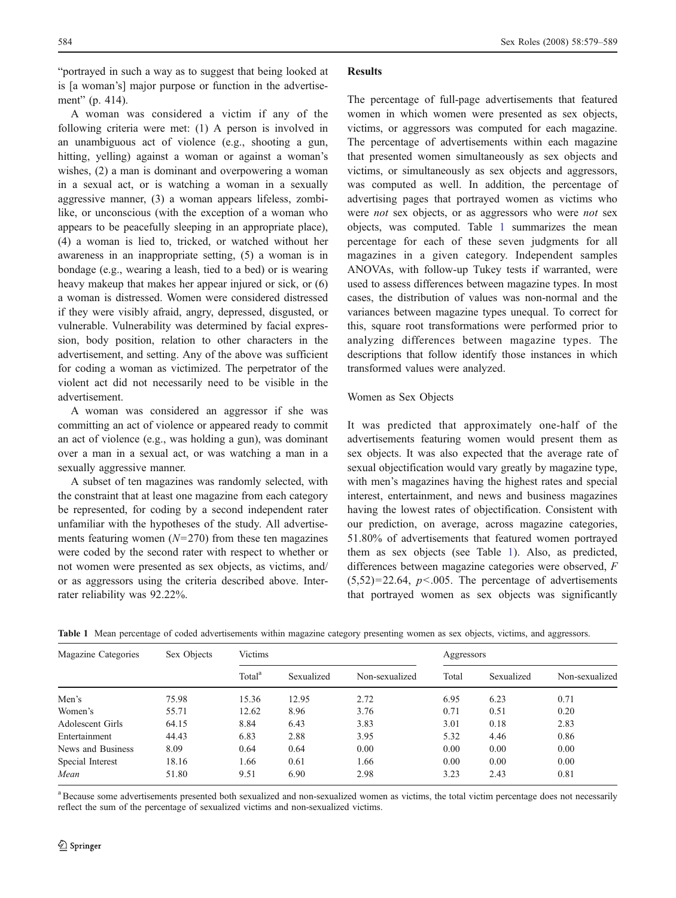"portrayed in such a way as to suggest that being looked at is [a woman's] major purpose or function in the advertisement" (p. 414).

A woman was considered a victim if any of the following criteria were met: (1) A person is involved in an unambiguous act of violence (e.g., shooting a gun, hitting, yelling) against a woman or against a woman's wishes, (2) a man is dominant and overpowering a woman in a sexual act, or is watching a woman in a sexually aggressive manner, (3) a woman appears lifeless, zombilike, or unconscious (with the exception of a woman who appears to be peacefully sleeping in an appropriate place), (4) a woman is lied to, tricked, or watched without her awareness in an inappropriate setting, (5) a woman is in bondage (e.g., wearing a leash, tied to a bed) or is wearing heavy makeup that makes her appear injured or sick, or (6) a woman is distressed. Women were considered distressed if they were visibly afraid, angry, depressed, disgusted, or vulnerable. Vulnerability was determined by facial expression, body position, relation to other characters in the advertisement, and setting. Any of the above was sufficient for coding a woman as victimized. The perpetrator of the violent act did not necessarily need to be visible in the advertisement.

A woman was considered an aggressor if she was committing an act of violence or appeared ready to commit an act of violence (e.g., was holding a gun), was dominant over a man in a sexual act, or was watching a man in a sexually aggressive manner.

A subset of ten magazines was randomly selected, with the constraint that at least one magazine from each category be represented, for coding by a second independent rater unfamiliar with the hypotheses of the study. All advertisements featuring women  $(N=270)$  from these ten magazines were coded by the second rater with respect to whether or not women were presented as sex objects, as victims, and/ or as aggressors using the criteria described above. Interrater reliability was 92.22%.

#### Results

The percentage of full-page advertisements that featured women in which women were presented as sex objects, victims, or aggressors was computed for each magazine. The percentage of advertisements within each magazine that presented women simultaneously as sex objects and victims, or simultaneously as sex objects and aggressors, was computed as well. In addition, the percentage of advertising pages that portrayed women as victims who were *not* sex objects, or as aggressors who were *not* sex objects, was computed. Table 1 summarizes the mean percentage for each of these seven judgments for all magazines in a given category. Independent samples ANOVAs, with follow-up Tukey tests if warranted, were used to assess differences between magazine types. In most cases, the distribution of values was non-normal and the variances between magazine types unequal. To correct for this, square root transformations were performed prior to analyzing differences between magazine types. The descriptions that follow identify those instances in which transformed values were analyzed.

## Women as Sex Objects

It was predicted that approximately one-half of the advertisements featuring women would present them as sex objects. It was also expected that the average rate of sexual objectification would vary greatly by magazine type, with men's magazines having the highest rates and special interest, entertainment, and news and business magazines having the lowest rates of objectification. Consistent with our prediction, on average, across magazine categories, 51.80% of advertisements that featured women portrayed them as sex objects (see Table 1). Also, as predicted, differences between magazine categories were observed, F  $(5,52)=22.64$ ,  $p<0.005$ . The percentage of advertisements that portrayed women as sex objects was significantly

| Magazine Categories | Sex Objects | Victims            |            |                | Aggressors |            |                |
|---------------------|-------------|--------------------|------------|----------------|------------|------------|----------------|
|                     |             | Total <sup>a</sup> | Sexualized | Non-sexualized | Total      | Sexualized | Non-sexualized |
| Men's               | 75.98       | 15.36              | 12.95      | 2.72           | 6.95       | 6.23       | 0.71           |
| Women's             | 55.71       | 12.62              | 8.96       | 3.76           | 0.71       | 0.51       | 0.20           |
| Adolescent Girls    | 64.15       | 8.84               | 6.43       | 3.83           | 3.01       | 0.18       | 2.83           |
| Entertainment       | 44.43       | 6.83               | 2.88       | 3.95           | 5.32       | 4.46       | 0.86           |
| News and Business   | 8.09        | 0.64               | 0.64       | 0.00           | 0.00       | 0.00       | 0.00           |
| Special Interest    | 18.16       | 1.66               | 0.61       | 1.66           | 0.00       | 0.00       | 0.00           |
| Mean                | 51.80       | 9.51               | 6.90       | 2.98           | 3.23       | 2.43       | 0.81           |

Table 1 Mean percentage of coded advertisements within magazine category presenting women as sex objects, victims, and aggressors.

<sup>a</sup>Because some advertisements presented both sexualized and non-sexualized women as victims, the total victim percentage does not necessarily reflect the sum of the percentage of sexualized victims and non-sexualized victims.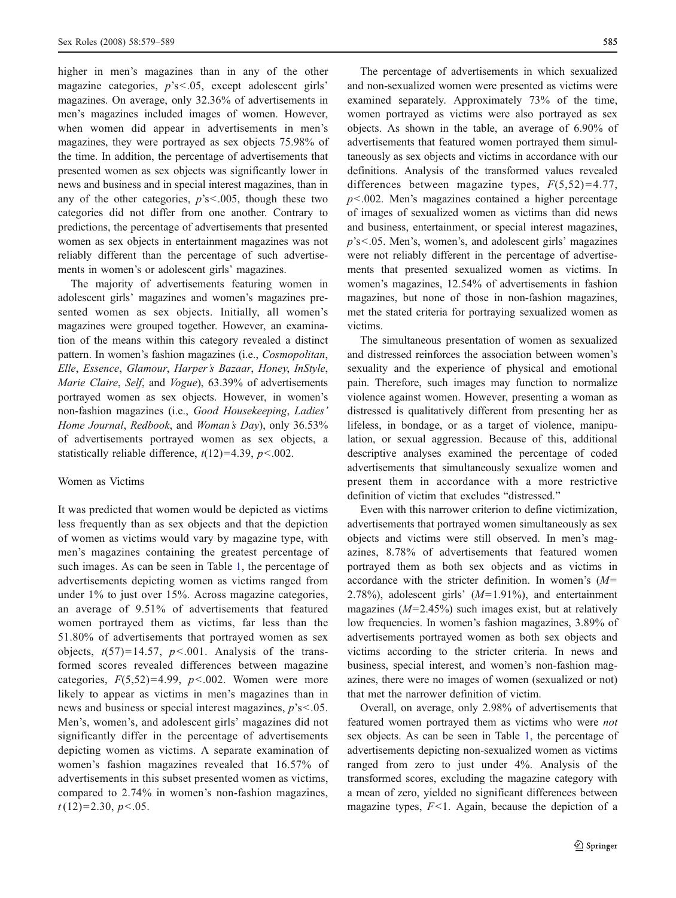higher in men's magazines than in any of the other magazine categories, p's<.05, except adolescent girls' magazines. On average, only 32.36% of advertisements in men's magazines included images of women. However, when women did appear in advertisements in men's magazines, they were portrayed as sex objects 75.98% of the time. In addition, the percentage of advertisements that presented women as sex objects was significantly lower in news and business and in special interest magazines, than in any of the other categories,  $p's < .005$ , though these two categories did not differ from one another. Contrary to predictions, the percentage of advertisements that presented women as sex objects in entertainment magazines was not reliably different than the percentage of such advertisements in women's or adolescent girls' magazines.

The majority of advertisements featuring women in adolescent girls' magazines and women's magazines presented women as sex objects. Initially, all women's magazines were grouped together. However, an examination of the means within this category revealed a distinct pattern. In women's fashion magazines (i.e., Cosmopolitan, Elle, Essence, Glamour, Harper's Bazaar, Honey, InStyle, Marie Claire, Self, and Vogue), 63.39% of advertisements portrayed women as sex objects. However, in women's non-fashion magazines (i.e., Good Housekeeping, Ladies' Home Journal, Redbook, and Woman's Day), only 36.53% of advertisements portrayed women as sex objects, a statistically reliable difference,  $t(12)=4.39$ ,  $p<.002$ .

## Women as Victims

It was predicted that women would be depicted as victims less frequently than as sex objects and that the depiction of women as victims would vary by magazine type, with men's magazines containing the greatest percentage of such images. As can be seen in Table 1, the percentage of advertisements depicting women as victims ranged from under 1% to just over 15%. Across magazine categories, an average of 9.51% of advertisements that featured women portrayed them as victims, far less than the 51.80% of advertisements that portrayed women as sex objects,  $t(57)=14.57$ ,  $p<.001$ . Analysis of the transformed scores revealed differences between magazine categories,  $F(5,52)=4.99$ ,  $p<0.002$ . Women were more likely to appear as victims in men's magazines than in news and business or special interest magazines, p's<.05. Men's, women's, and adolescent girls' magazines did not significantly differ in the percentage of advertisements depicting women as victims. A separate examination of women's fashion magazines revealed that 16.57% of advertisements in this subset presented women as victims, compared to 2.74% in women's non-fashion magazines,  $t(12)=2.30, p<.05.$ 

The percentage of advertisements in which sexualized and non-sexualized women were presented as victims were examined separately. Approximately 73% of the time, women portrayed as victims were also portrayed as sex objects. As shown in the table, an average of 6.90% of advertisements that featured women portrayed them simultaneously as sex objects and victims in accordance with our definitions. Analysis of the transformed values revealed differences between magazine types,  $F(5,52)=4.77$ ,  $p$ <.002. Men's magazines contained a higher percentage of images of sexualized women as victims than did news and business, entertainment, or special interest magazines, p's<.05. Men's, women's, and adolescent girls' magazines were not reliably different in the percentage of advertisements that presented sexualized women as victims. In women's magazines, 12.54% of advertisements in fashion magazines, but none of those in non-fashion magazines, met the stated criteria for portraying sexualized women as victims.

The simultaneous presentation of women as sexualized and distressed reinforces the association between women's sexuality and the experience of physical and emotional pain. Therefore, such images may function to normalize violence against women. However, presenting a woman as distressed is qualitatively different from presenting her as lifeless, in bondage, or as a target of violence, manipulation, or sexual aggression. Because of this, additional descriptive analyses examined the percentage of coded advertisements that simultaneously sexualize women and present them in accordance with a more restrictive definition of victim that excludes "distressed."

Even with this narrower criterion to define victimization, advertisements that portrayed women simultaneously as sex objects and victims were still observed. In men's magazines, 8.78% of advertisements that featured women portrayed them as both sex objects and as victims in accordance with the stricter definition. In women's  $(M=$ 2.78%), adolescent girls'  $(M=1.91\%)$ , and entertainment magazines  $(M=2.45\%)$  such images exist, but at relatively low frequencies. In women's fashion magazines, 3.89% of advertisements portrayed women as both sex objects and victims according to the stricter criteria. In news and business, special interest, and women's non-fashion magazines, there were no images of women (sexualized or not) that met the narrower definition of victim.

Overall, on average, only 2.98% of advertisements that featured women portrayed them as victims who were not sex objects. As can be seen in Table 1, the percentage of advertisements depicting non-sexualized women as victims ranged from zero to just under 4%. Analysis of the transformed scores, excluding the magazine category with a mean of zero, yielded no significant differences between magazine types,  $F<1$ . Again, because the depiction of a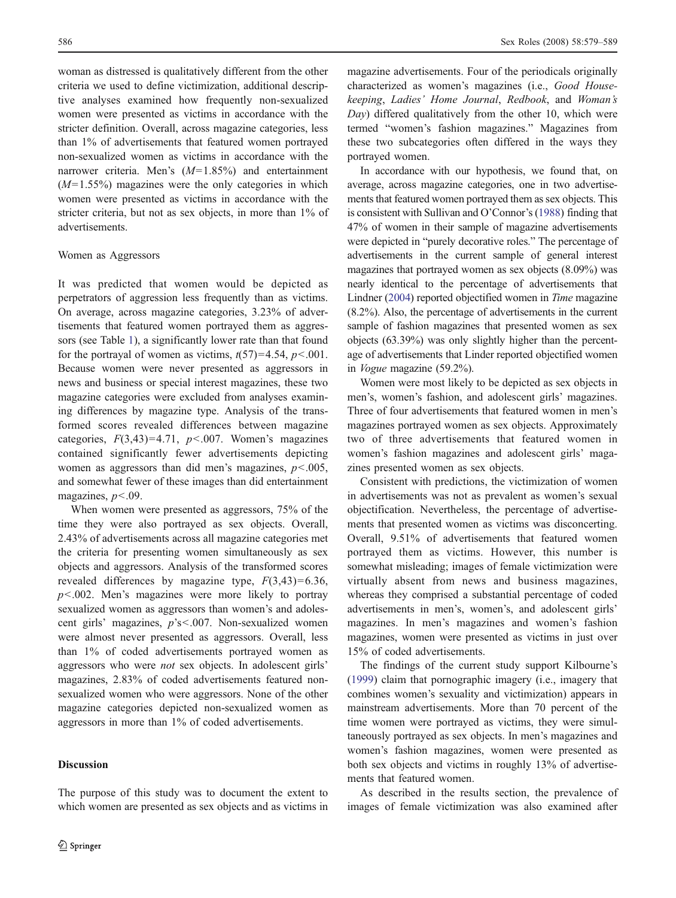woman as distressed is qualitatively different from the other criteria we used to define victimization, additional descriptive analyses examined how frequently non-sexualized women were presented as victims in accordance with the stricter definition. Overall, across magazine categories, less than 1% of advertisements that featured women portrayed non-sexualized women as victims in accordance with the narrower criteria. Men's  $(M=1.85\%)$  and entertainment  $(M=1.55\%)$  magazines were the only categories in which women were presented as victims in accordance with the stricter criteria, but not as sex objects, in more than 1% of advertisements.

# Women as Aggressors

It was predicted that women would be depicted as perpetrators of aggression less frequently than as victims. On average, across magazine categories, 3.23% of advertisements that featured women portrayed them as aggressors (see Table 1), a significantly lower rate than that found for the portrayal of women as victims,  $t(57)=4.54$ ,  $p<.001$ . Because women were never presented as aggressors in news and business or special interest magazines, these two magazine categories were excluded from analyses examining differences by magazine type. Analysis of the transformed scores revealed differences between magazine categories,  $F(3,43)=4.71$ ,  $p<.007$ . Women's magazines contained significantly fewer advertisements depicting women as aggressors than did men's magazines,  $p < .005$ , and somewhat fewer of these images than did entertainment magazines,  $p<0.09$ .

When women were presented as aggressors, 75% of the time they were also portrayed as sex objects. Overall, 2.43% of advertisements across all magazine categories met the criteria for presenting women simultaneously as sex objects and aggressors. Analysis of the transformed scores revealed differences by magazine type,  $F(3,43)=6.36$ ,  $p$ <.002. Men's magazines were more likely to portray sexualized women as aggressors than women's and adolescent girls' magazines, p's<.007. Non-sexualized women were almost never presented as aggressors. Overall, less than 1% of coded advertisements portrayed women as aggressors who were not sex objects. In adolescent girls' magazines, 2.83% of coded advertisements featured nonsexualized women who were aggressors. None of the other magazine categories depicted non-sexualized women as aggressors in more than 1% of coded advertisements.

# Discussion

The purpose of this study was to document the extent to which women are presented as sex objects and as victims in

magazine advertisements. Four of the periodicals originally characterized as women's magazines (i.e., Good Housekeeping, Ladies' Home Journal, Redbook, and Woman's Day) differed qualitatively from the other 10, which were termed "women's fashion magazines." Magazines from these two subcategories often differed in the ways they portrayed women.

In accordance with our hypothesis, we found that, on average, across magazine categories, one in two advertisements that featured women portrayed them as sex objects. This is consistent with Sullivan and O'Connor's (1988) finding that 47% of women in their sample of magazine advertisements were depicted in "purely decorative roles." The percentage of advertisements in the current sample of general interest magazines that portrayed women as sex objects (8.09%) was nearly identical to the percentage of advertisements that Lindner (2004) reported objectified women in Time magazine (8.2%). Also, the percentage of advertisements in the current sample of fashion magazines that presented women as sex objects (63.39%) was only slightly higher than the percentage of advertisements that Linder reported objectified women in Vogue magazine (59.2%).

Women were most likely to be depicted as sex objects in men's, women's fashion, and adolescent girls' magazines. Three of four advertisements that featured women in men's magazines portrayed women as sex objects. Approximately two of three advertisements that featured women in women's fashion magazines and adolescent girls' magazines presented women as sex objects.

Consistent with predictions, the victimization of women in advertisements was not as prevalent as women's sexual objectification. Nevertheless, the percentage of advertisements that presented women as victims was disconcerting. Overall, 9.51% of advertisements that featured women portrayed them as victims. However, this number is somewhat misleading; images of female victimization were virtually absent from news and business magazines, whereas they comprised a substantial percentage of coded advertisements in men's, women's, and adolescent girls' magazines. In men's magazines and women's fashion magazines, women were presented as victims in just over 15% of coded advertisements.

The findings of the current study support Kilbourne's (1999) claim that pornographic imagery (i.e., imagery that combines women's sexuality and victimization) appears in mainstream advertisements. More than 70 percent of the time women were portrayed as victims, they were simultaneously portrayed as sex objects. In men's magazines and women's fashion magazines, women were presented as both sex objects and victims in roughly 13% of advertisements that featured women.

As described in the results section, the prevalence of images of female victimization was also examined after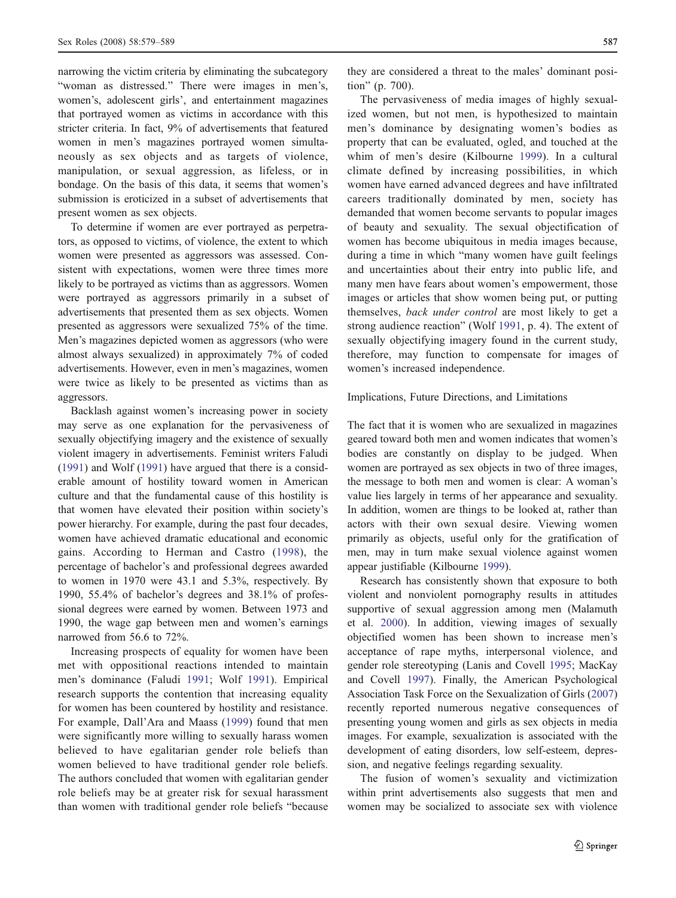narrowing the victim criteria by eliminating the subcategory "woman as distressed." There were images in men's, women's, adolescent girls', and entertainment magazines that portrayed women as victims in accordance with this stricter criteria. In fact, 9% of advertisements that featured women in men's magazines portrayed women simultaneously as sex objects and as targets of violence, manipulation, or sexual aggression, as lifeless, or in bondage. On the basis of this data, it seems that women's submission is eroticized in a subset of advertisements that present women as sex objects.

To determine if women are ever portrayed as perpetrators, as opposed to victims, of violence, the extent to which women were presented as aggressors was assessed. Consistent with expectations, women were three times more likely to be portrayed as victims than as aggressors. Women were portrayed as aggressors primarily in a subset of advertisements that presented them as sex objects. Women presented as aggressors were sexualized 75% of the time. Men's magazines depicted women as aggressors (who were almost always sexualized) in approximately 7% of coded advertisements. However, even in men's magazines, women were twice as likely to be presented as victims than as aggressors.

Backlash against women's increasing power in society may serve as one explanation for the pervasiveness of sexually objectifying imagery and the existence of sexually violent imagery in advertisements. Feminist writers Faludi (1991) and Wolf (1991) have argued that there is a considerable amount of hostility toward women in American culture and that the fundamental cause of this hostility is that women have elevated their position within society's power hierarchy. For example, during the past four decades, women have achieved dramatic educational and economic gains. According to Herman and Castro (1998), the percentage of bachelor's and professional degrees awarded to women in 1970 were 43.1 and 5.3%, respectively. By 1990, 55.4% of bachelor's degrees and 38.1% of professional degrees were earned by women. Between 1973 and 1990, the wage gap between men and women's earnings narrowed from 56.6 to 72%.

Increasing prospects of equality for women have been met with oppositional reactions intended to maintain men's dominance (Faludi 1991; Wolf 1991). Empirical research supports the contention that increasing equality for women has been countered by hostility and resistance. For example, Dall'Ara and Maass (1999) found that men were significantly more willing to sexually harass women believed to have egalitarian gender role beliefs than women believed to have traditional gender role beliefs. The authors concluded that women with egalitarian gender role beliefs may be at greater risk for sexual harassment than women with traditional gender role beliefs "because

they are considered a threat to the males' dominant position" (p. 700).

The pervasiveness of media images of highly sexualized women, but not men, is hypothesized to maintain men's dominance by designating women's bodies as property that can be evaluated, ogled, and touched at the whim of men's desire (Kilbourne 1999). In a cultural climate defined by increasing possibilities, in which women have earned advanced degrees and have infiltrated careers traditionally dominated by men, society has demanded that women become servants to popular images of beauty and sexuality. The sexual objectification of women has become ubiquitous in media images because, during a time in which "many women have guilt feelings and uncertainties about their entry into public life, and many men have fears about women's empowerment, those images or articles that show women being put, or putting themselves, back under control are most likely to get a strong audience reaction" (Wolf 1991, p. 4). The extent of sexually objectifying imagery found in the current study, therefore, may function to compensate for images of women's increased independence.

#### Implications, Future Directions, and Limitations

The fact that it is women who are sexualized in magazines geared toward both men and women indicates that women's bodies are constantly on display to be judged. When women are portrayed as sex objects in two of three images, the message to both men and women is clear: A woman's value lies largely in terms of her appearance and sexuality. In addition, women are things to be looked at, rather than actors with their own sexual desire. Viewing women primarily as objects, useful only for the gratification of men, may in turn make sexual violence against women appear justifiable (Kilbourne 1999).

Research has consistently shown that exposure to both violent and nonviolent pornography results in attitudes supportive of sexual aggression among men (Malamuth et al. 2000). In addition, viewing images of sexually objectified women has been shown to increase men's acceptance of rape myths, interpersonal violence, and gender role stereotyping (Lanis and Covell 1995; MacKay and Covell 1997). Finally, the American Psychological Association Task Force on the Sexualization of Girls (2007) recently reported numerous negative consequences of presenting young women and girls as sex objects in media images. For example, sexualization is associated with the development of eating disorders, low self-esteem, depression, and negative feelings regarding sexuality.

The fusion of women's sexuality and victimization within print advertisements also suggests that men and women may be socialized to associate sex with violence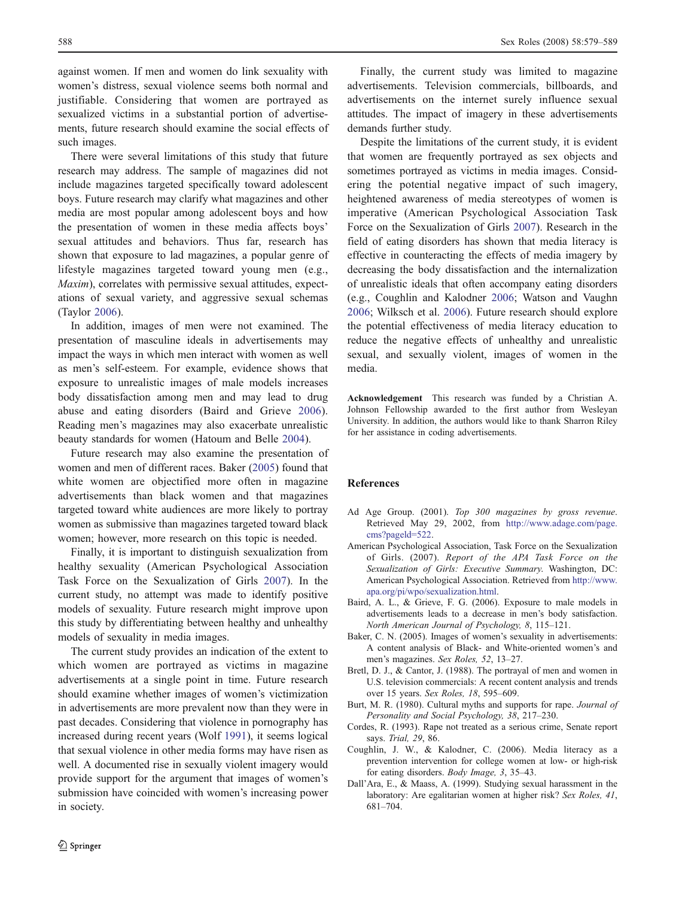against women. If men and women do link sexuality with women's distress, sexual violence seems both normal and justifiable. Considering that women are portrayed as sexualized victims in a substantial portion of advertisements, future research should examine the social effects of such images.

There were several limitations of this study that future research may address. The sample of magazines did not include magazines targeted specifically toward adolescent boys. Future research may clarify what magazines and other media are most popular among adolescent boys and how the presentation of women in these media affects boys' sexual attitudes and behaviors. Thus far, research has shown that exposure to lad magazines, a popular genre of lifestyle magazines targeted toward young men (e.g., Maxim), correlates with permissive sexual attitudes, expectations of sexual variety, and aggressive sexual schemas (Taylor 2006).

In addition, images of men were not examined. The presentation of masculine ideals in advertisements may impact the ways in which men interact with women as well as men's self-esteem. For example, evidence shows that exposure to unrealistic images of male models increases body dissatisfaction among men and may lead to drug abuse and eating disorders (Baird and Grieve 2006). Reading men's magazines may also exacerbate unrealistic beauty standards for women (Hatoum and Belle 2004).

Future research may also examine the presentation of women and men of different races. Baker (2005) found that white women are objectified more often in magazine advertisements than black women and that magazines targeted toward white audiences are more likely to portray women as submissive than magazines targeted toward black women; however, more research on this topic is needed.

Finally, it is important to distinguish sexualization from healthy sexuality (American Psychological Association Task Force on the Sexualization of Girls 2007). In the current study, no attempt was made to identify positive models of sexuality. Future research might improve upon this study by differentiating between healthy and unhealthy models of sexuality in media images.

The current study provides an indication of the extent to which women are portrayed as victims in magazine advertisements at a single point in time. Future research should examine whether images of women's victimization in advertisements are more prevalent now than they were in past decades. Considering that violence in pornography has increased during recent years (Wolf 1991), it seems logical that sexual violence in other media forms may have risen as well. A documented rise in sexually violent imagery would provide support for the argument that images of women's submission have coincided with women's increasing power in society.

Finally, the current study was limited to magazine advertisements. Television commercials, billboards, and advertisements on the internet surely influence sexual attitudes. The impact of imagery in these advertisements demands further study.

Despite the limitations of the current study, it is evident that women are frequently portrayed as sex objects and sometimes portrayed as victims in media images. Considering the potential negative impact of such imagery, heightened awareness of media stereotypes of women is imperative (American Psychological Association Task Force on the Sexualization of Girls 2007). Research in the field of eating disorders has shown that media literacy is effective in counteracting the effects of media imagery by decreasing the body dissatisfaction and the internalization of unrealistic ideals that often accompany eating disorders (e.g., Coughlin and Kalodner 2006; Watson and Vaughn 2006; Wilksch et al. 2006). Future research should explore the potential effectiveness of media literacy education to reduce the negative effects of unhealthy and unrealistic sexual, and sexually violent, images of women in the media.

Acknowledgement This research was funded by a Christian A. Johnson Fellowship awarded to the first author from Wesleyan University. In addition, the authors would like to thank Sharron Riley for her assistance in coding advertisements.

#### References

- Ad Age Group. (2001). Top 300 magazines by gross revenue. Retrieved May 29, 2002, from [http://www.adage.com/page.](http://www.adage.com/page.cms?pageld=522) [cms?pageld=522](http://www.adage.com/page.cms?pageld=522).
- American Psychological Association, Task Force on the Sexualization of Girls. (2007). Report of the APA Task Force on the Sexualization of Girls: Executive Summary. Washington, DC: American Psychological Association. Retrieved from [http://www.](http://www.apa.org/pi/wpo/sexualization.html) [apa.org/pi/wpo/sexualization.html.](http://www.apa.org/pi/wpo/sexualization.html)
- Baird, A. L., & Grieve, F. G. (2006). Exposure to male models in advertisements leads to a decrease in men's body satisfaction. North American Journal of Psychology, 8, 115–121.
- Baker, C. N. (2005). Images of women's sexuality in advertisements: A content analysis of Black- and White-oriented women's and men's magazines. Sex Roles, 52, 13–27.
- Bretl, D. J., & Cantor, J. (1988). The portrayal of men and women in U.S. television commercials: A recent content analysis and trends over 15 years. Sex Roles, 18, 595–609.
- Burt, M. R. (1980). Cultural myths and supports for rape. Journal of Personality and Social Psychology, 38, 217–230.
- Cordes, R. (1993). Rape not treated as a serious crime, Senate report says. Trial, 29, 86.
- Coughlin, J. W., & Kalodner, C. (2006). Media literacy as a prevention intervention for college women at low- or high-risk for eating disorders. Body Image, 3, 35–43.
- Dall'Ara, E., & Maass, A. (1999). Studying sexual harassment in the laboratory: Are egalitarian women at higher risk? Sex Roles, 41, 681–704.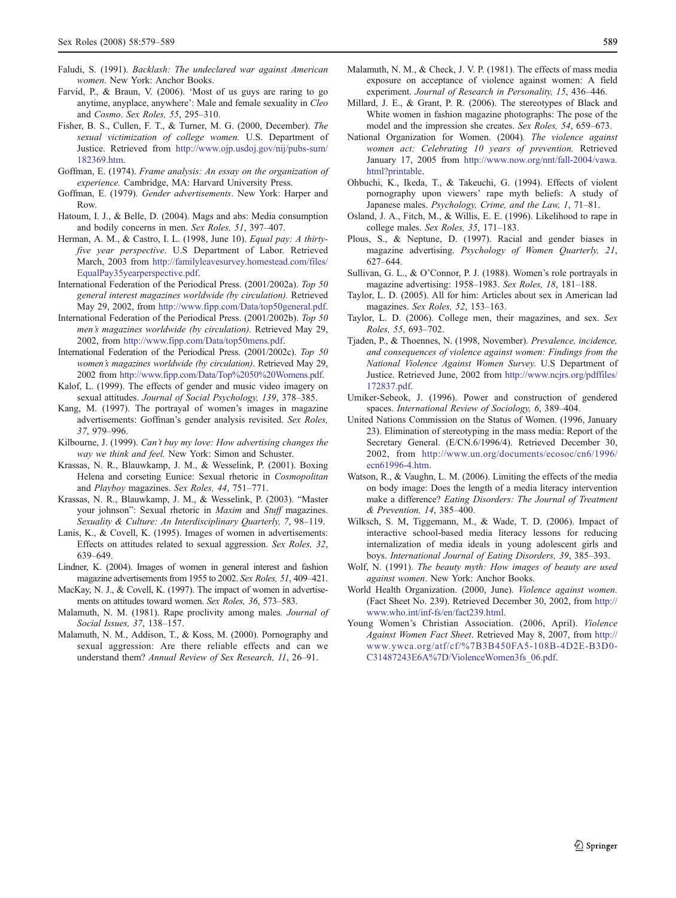- Faludi, S. (1991). Backlash: The undeclared war against American women. New York: Anchor Books.
- Farvid, P., & Braun, V. (2006). 'Most of us guys are raring to go anytime, anyplace, anywhere': Male and female sexuality in Cleo and Cosmo. Sex Roles, 55, 295–310.
- Fisher, B. S., Cullen, F. T., & Turner, M. G. (2000, December). The sexual victimization of college women. U.S. Department of Justice. Retrieved from [http://www.ojp.usdoj.gov/nij/pubs-sum/](http://www.ojp.usdoj.gov/nij/pubs-sum/182369.htm) [182369.htm.](http://www.ojp.usdoj.gov/nij/pubs-sum/182369.htm)
- Goffman, E. (1974). Frame analysis: An essay on the organization of experience. Cambridge, MA: Harvard University Press.
- Goffman, E. (1979). Gender advertisements. New York: Harper and Row.
- Hatoum, I. J., & Belle, D. (2004). Mags and abs: Media consumption and bodily concerns in men. Sex Roles, 51, 397–407.
- Herman, A. M., & Castro, I. L. (1998, June 10). Equal pay: A thirtyfive year perspective. U.S Department of Labor. Retrieved March, 2003 from [http://familyleavesurvey.homestead.com/files/](http://familyleavesurvey.homestead.com/files/EqualPay35yearperspective.pdf) [EqualPay35yearperspective.pdf](http://familyleavesurvey.homestead.com/files/EqualPay35yearperspective.pdf).
- International Federation of the Periodical Press. (2001/2002a). Top 50 general interest magazines worldwide (by circulation). Retrieved May 29, 2002, from <http://www.fipp.com/Data/top50general.pdf>.
- International Federation of the Periodical Press. (2001/2002b). Top 50 men's magazines worldwide (by circulation). Retrieved May 29, 2002, from <http://www.fipp.com/Data/top50mens.pdf>.
- International Federation of the Periodical Press. (2001/2002c). Top 50 women's magazines worldwide (by circulation). Retrieved May 29, 2002 from [http://www.fipp.com/Data/Top%2050%20Womens.pdf.](http://www.fipp.com/Data/Top%2050%20Womens.pdf)
- Kalof, L. (1999). The effects of gender and music video imagery on sexual attitudes. Journal of Social Psychology, 139, 378–385.
- Kang, M. (1997). The portrayal of women's images in magazine advertisements: Goffman's gender analysis revisited. Sex Roles, 37, 979–996.
- Kilbourne, J. (1999). Can't buy my love: How advertising changes the way we think and feel. New York: Simon and Schuster.
- Krassas, N. R., Blauwkamp, J. M., & Wesselink, P. (2001). Boxing Helena and corseting Eunice: Sexual rhetoric in Cosmopolitan and Playboy magazines. Sex Roles, 44, 751–771.
- Krassas, N. R., Blauwkamp, J. M., & Wesselink, P. (2003). "Master your johnson": Sexual rhetoric in *Maxim* and *Stuff* magazines. Sexuality & Culture: An Interdisciplinary Quarterly, 7, 98–119.
- Lanis, K., & Covell, K. (1995). Images of women in advertisements: Effects on attitudes related to sexual aggression. Sex Roles, 32, 639–649.
- Lindner, K. (2004). Images of women in general interest and fashion magazine advertisements from 1955 to 2002. Sex Roles, 51, 409–421.
- MacKay, N. J., & Covell, K. (1997). The impact of women in advertisements on attitudes toward women. Sex Roles, 36, 573–583.
- Malamuth, N. M. (1981). Rape proclivity among males. Journal of Social Issues, 37, 138–157.
- Malamuth, N. M., Addison, T., & Koss, M. (2000). Pornography and sexual aggression: Are there reliable effects and can we understand them? Annual Review of Sex Research, 11, 26–91.
- Malamuth, N. M., & Check, J. V. P. (1981). The effects of mass media exposure on acceptance of violence against women: A field experiment. Journal of Research in Personality, 15, 436–446.
- Millard, J. E., & Grant, P. R. (2006). The stereotypes of Black and White women in fashion magazine photographs: The pose of the model and the impression she creates. Sex Roles, 54, 659–673.
- National Organization for Women. (2004). The violence against women act: Celebrating 10 years of prevention. Retrieved January 17, 2005 from [http://www.now.org/nnt/fall-2004/vawa.](http://www.now.org/nnt/fall-2004/vawa.html?printable) [html?printable.](http://www.now.org/nnt/fall-2004/vawa.html?printable)
- Ohbuchi, K., Ikeda, T., & Takeuchi, G. (1994). Effects of violent pornography upon viewers' rape myth beliefs: A study of Japanese males. Psychology, Crime, and the Law, 1, 71–81.
- Osland, J. A., Fitch, M., & Willis, E. E. (1996). Likelihood to rape in college males. Sex Roles, 35, 171–183.
- Plous, S., & Neptune, D. (1997). Racial and gender biases in magazine advertising. Psychology of Women Quarterly, 21, 627–644.
- Sullivan, G. L., & O'Connor, P. J. (1988). Women's role portrayals in magazine advertising: 1958–1983. Sex Roles, 18, 181–188.
- Taylor, L. D. (2005). All for him: Articles about sex in American lad magazines. Sex Roles, 52, 153–163.
- Taylor, L. D. (2006). College men, their magazines, and sex. Sex Roles, 55, 693–702.
- Tjaden, P., & Thoennes, N. (1998, November). Prevalence, incidence, and consequences of violence against women: Findings from the National Violence Against Women Survey. U.S Department of Justice. Retrieved June, 2002 from [http://www.ncjrs.org/pdffiles/](http://www.ncjrs.org/pdffiles/172837.pdf) [172837.pdf.](http://www.ncjrs.org/pdffiles/172837.pdf)
- Umiker-Sebeok, J. (1996). Power and construction of gendered spaces. International Review of Sociology, 6, 389–404.
- United Nations Commission on the Status of Women. (1996, January 23). Elimination of stereotyping in the mass media: Report of the Secretary General. (E/CN.6/1996/4). Retrieved December 30, 2002, from [http://www.un.org/documents/ecosoc/cn6/1996/](http://www.un.org/documents/ecosoc/cn6/1996/ecn61996-4.htm) [ecn61996-4.htm](http://www.un.org/documents/ecosoc/cn6/1996/ecn61996-4.htm).
- Watson, R., & Vaughn, L. M. (2006). Limiting the effects of the media on body image: Does the length of a media literacy intervention make a difference? Eating Disorders: The Journal of Treatment & Prevention, 14, 385–400.
- Wilksch, S. M, Tiggemann, M., & Wade, T. D. (2006). Impact of interactive school-based media literacy lessons for reducing internalization of media ideals in young adolescent girls and boys. International Journal of Eating Disorders, 39, 385–393.
- Wolf, N. (1991). The beauty myth: How images of beauty are used against women. New York: Anchor Books.
- World Health Organization. (2000, June). Violence against women. (Fact Sheet No. 239). Retrieved December 30, 2002, from [http://](http://www.who.int/inf-fs/en/fact239.html) [www.who.int/inf-fs/en/fact239.html.](http://www.who.int/inf-fs/en/fact239.html)
- Young Women's Christian Association. (2006, April). Violence Against Women Fact Sheet. Retrieved May 8, 2007, from [http://](http://www.ywca.org/atf/cf/%7B3B450FA5-108B-4D2E-B3D0-C31487243E6A%7D/ViolenceWomen3fs_06.pdf) [www.ywca.org/atf/cf/%7B3B450FA5-108B-4D2E-B3D0-](http://www.ywca.org/atf/cf/%7B3B450FA5-108B-4D2E-B3D0-C31487243E6A%7D/ViolenceWomen3fs_06.pdf) [C31487243E6A%7D/ViolenceWomen3fs\\_06.pdf.](http://www.ywca.org/atf/cf/%7B3B450FA5-108B-4D2E-B3D0-C31487243E6A%7D/ViolenceWomen3fs_06.pdf)